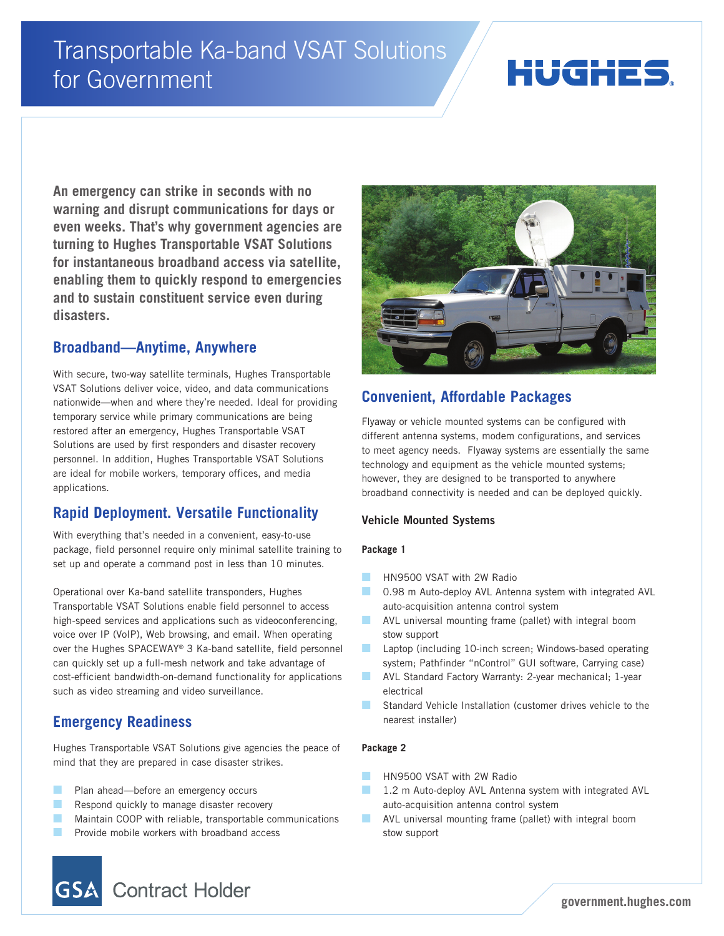# HUGHES

**An emergency can strike in seconds with no warning and disrupt communications for days or even weeks. That's why government agencies are turning to Hughes Transportable VSAT Solutions for instantaneous broadband access via satellite, enabling them to quickly respond to emergencies and to sustain constituent service even during disasters.**

# **Broadband—Anytime, Anywhere**

With secure, two-way satellite terminals, Hughes Transportable VSAT Solutions deliver voice, video, and data communications nationwide—when and where they're needed. Ideal for providing temporary service while primary communications are being restored after an emergency, Hughes Transportable VSAT Solutions are used by first responders and disaster recovery personnel. In addition, Hughes Transportable VSAT Solutions are ideal for mobile workers, temporary offices, and media applications.

# **Rapid Deployment. Versatile Functionality**

With everything that's needed in a convenient, easy-to-use package, field personnel require only minimal satellite training to set up and operate a command post in less than 10 minutes.

Operational over Ka-band satellite transponders, Hughes Transportable VSAT Solutions enable field personnel to access high-speed services and applications such as videoconferencing, voice over IP (VoIP), Web browsing, and email. When operating over the Hughes SPACEWAY® 3 Ka-band satellite, field personnel can quickly set up a full-mesh network and take advantage of cost-efficient bandwidth-on-demand functionality for applications such as video streaming and video surveillance.

# **Emergency Readiness**

Hughes Transportable VSAT Solutions give agencies the peace of mind that they are prepared in case disaster strikes.

- Plan ahead—before an emergency occurs
- Respond quickly to manage disaster recovery
- Maintain COOP with reliable, transportable communications
- Provide mobile workers with broadband access





# **Convenient, Affordable Packages**

Flyaway or vehicle mounted systems can be configured with different antenna systems, modem configurations, and services to meet agency needs. Flyaway systems are essentially the same technology and equipment as the vehicle mounted systems; however, they are designed to be transported to anywhere broadband connectivity is needed and can be deployed quickly.

## **Vehicle Mounted Systems**

## **Package 1**

- HN9500 VSAT with 2W Radio
- 0.98 m Auto-deploy AVL Antenna system with integrated AVL auto-acquisition antenna control system
- AVL universal mounting frame (pallet) with integral boom stow support
- Laptop (including 10-inch screen; Windows-based operating system; Pathfinder "nControl" GUI software, Carrying case)
- AVL Standard Factory Warranty: 2-year mechanical; 1-year electrical
- Standard Vehicle Installation (customer drives vehicle to the nearest installer)

## **Package 2**

- HN9500 VSAT with 2W Radio
- 1.2 m Auto-deploy AVL Antenna system with integrated AVL auto-acquisition antenna control system
- AVL universal mounting frame (pallet) with integral boom stow support